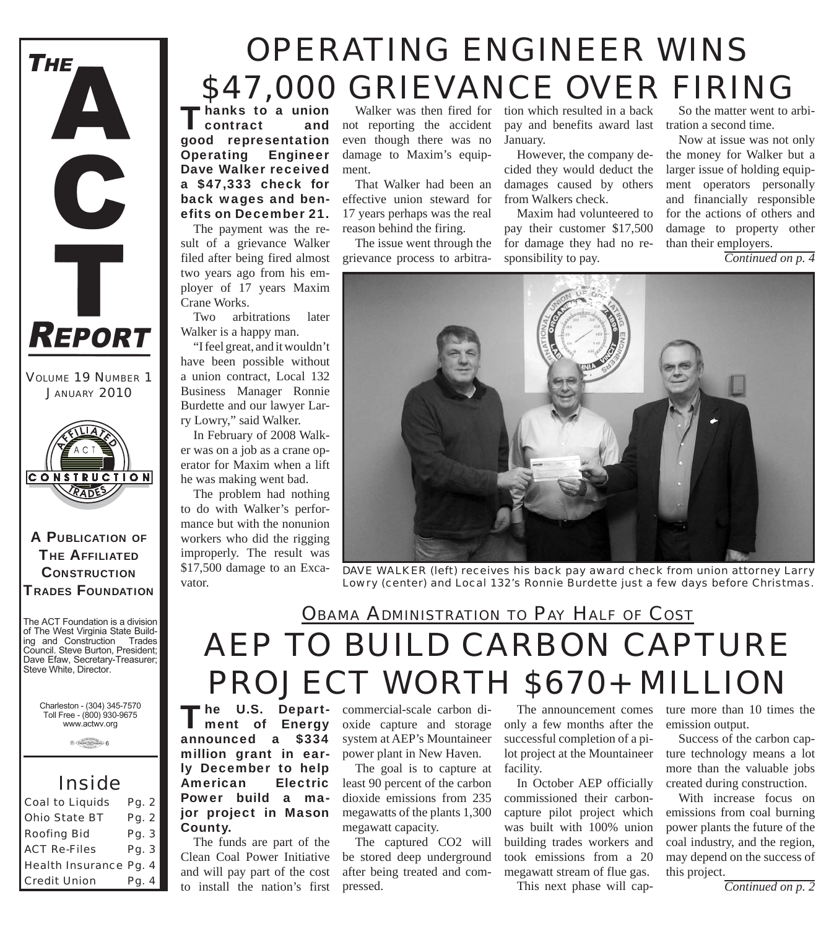

*VOLUME 19 NUMBER 1 JANUARY 2010*



A PUBLICATION OF **THE AFFILIATED CONSTRUCTION** TRADES FOUNDATION

The ACT Foundation is a division of The West Virginia State Building and Construction Trades Council. Steve Burton, President; Dave Efaw, Secretary-Treasurer; Steve White, Director.

> Charleston - (304) 345-7570 Toll Free - (800) 930-9675 www.actwv.org

> > $A$  (Trades  $\frac{\text{max of } \text{max of } \text{max of } \text{max of } \text{max of } \text{max of } \text{max of } \text{max of } \text{max of } \text{max of } \text{max of } \text{max of } \text{max of } \text{max of } \text{max of } \text{max of } \text{max of } \text{max of } \text{max of } \text{max of } \text{max of } \text{max of } \text{max of } \text{max of } \text{max of } \text{max of } \text{max of } \text{max of } \text{max of } \text{max of } \text{max of } \text{max of } \text{max of } \text{max of } \text$

### *Inside*

| <b>Coal to Liquids</b> | Pg. 2 |  |
|------------------------|-------|--|
| <b>Ohio State BT</b>   | Pg. 2 |  |
| <b>Roofing Bid</b>     | Pg. 3 |  |
| <b>ACT Re-Files</b>    | Pg. 3 |  |
| Health Insurance Pg. 4 |       |  |
| <b>Credit Union</b>    | Pg. 4 |  |

# *OPERATING ENGINEER WINS \$47,000 GRIEVANCE OVER FIRING*

hanks to a union<br>contract and contract good representation Operating Engineer Dave Walker received a \$47,333 check for back wages and benefits on December 21.

The payment was the result of a grievance Walker filed after being fired almost two years ago from his employer of 17 years Maxim Crane Works.

Two arbitrations later Walker is a happy man.

"I feel great, and it wouldn't have been possible without a union contract, Local 132 Business Manager Ronnie Burdette and our lawyer Larry Lowry," said Walker.

In February of 2008 Walker was on a job as a crane operator for Maxim when a lift he was making went bad.

The problem had nothing to do with Walker's performance but with the nonunion workers who did the rigging improperly. The result was \$17,500 damage to an Excavator.

not reporting the accident even though there was no damage to Maxim's equipment.

That Walker had been an effective union steward for 17 years perhaps was the real reason behind the firing.

The issue went through the grievance process to arbitra-

pay and benefits award last tration a second time. Walker was then fired for tion which resulted in a back January.

> However, the company decided they would deduct the damages caused by others from Walkers check.

Maxim had volunteered to pay their customer \$17,500 for damage they had no responsibility to pay.

So the matter went to arbi-

Now at issue was not only the money for Walker but a larger issue of holding equipment operators personally and financially responsible for the actions of others and damage to property other than their employers.

*Continued on p. 4*



*DAVE WALKER (left) receives his back pay award check from union attorney Larry Lowry (center) and Local 132's Ronnie Burdette just a few days before Christmas.*

### *AEP TO BUILD CARBON CAPTURE PROJECT WORTH \$670+ MILLION OBAMA ADMINISTRATION TO PAY HALF OF COST*

The U.S. Depart-<br>
Thent of Energy announced a \$334 million grant in early December to help American Electric Power build a major project in Mason County.

The funds are part of the Clean Coal Power Initiative and will pay part of the cost

commercial-scale carbon dioxide capture and storage system at AEP's Mountaineer power plant in New Haven.

The goal is to capture at least 90 percent of the carbon dioxide emissions from 235 megawatts of the plants 1,300 megawatt capacity.

**Credit Union Pg. 4** to install the nation's first pressed. This next phase will cap-<br>This next phase will cap-<br>Continued on p. 2 The captured CO2 will be stored deep underground after being treated and compressed.

The announcement comes only a few months after the successful completion of a pilot project at the Mountaineer facility.

In October AEP officially commissioned their carboncapture pilot project which was built with 100% union building trades workers and took emissions from a 20 megawatt stream of flue gas.

This next phase will cap-

ture more than 10 times the emission output.

Success of the carbon capture technology means a lot more than the valuable jobs created during construction.

With increase focus on emissions from coal burning power plants the future of the coal industry, and the region, may depend on the success of this project.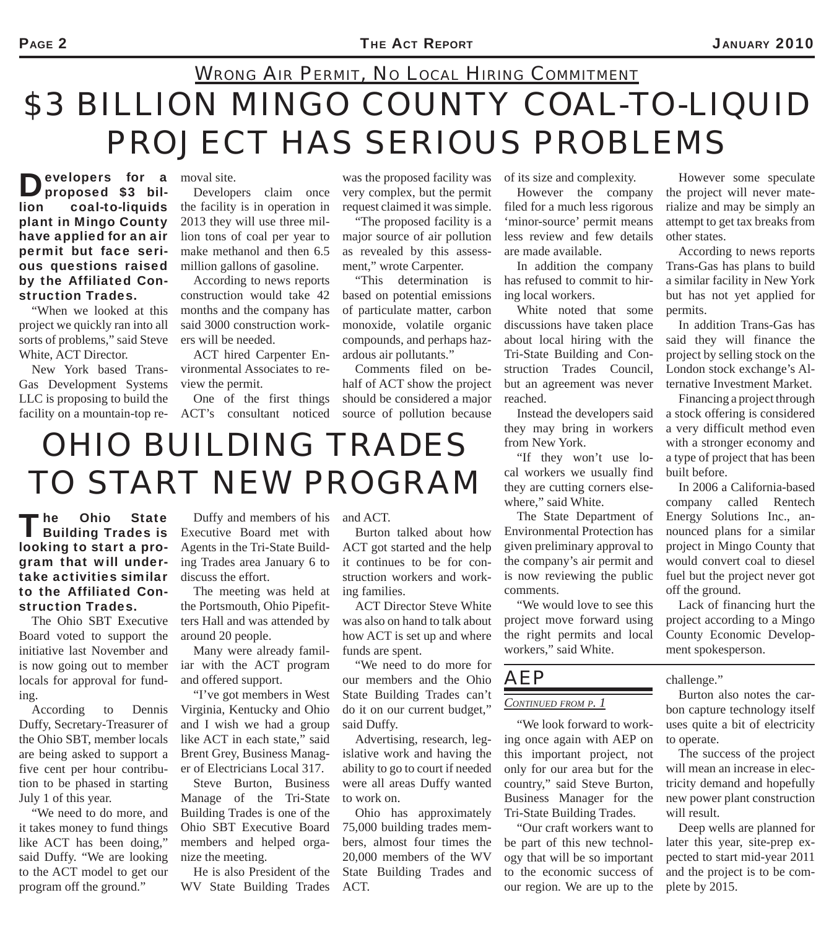### *\$3 BILLION MINGO COUNTY COAL-TO-LIQUID PROJECT HAS SERIOUS PROBLEMS WRONG AIR PERMIT, NO LOCAL HIRING COMMITMENT*

**D**evelopers for a proposed \$3 billion coal-to-liquids plant in Mingo County have applied for an air permit but face serious questions raised by the Affiliated Construction Trades.

"When we looked at this project we quickly ran into all sorts of problems," said Steve White, ACT Director.

New York based Trans-Gas Development Systems LLC is proposing to build the

to the Affiliated Con-

The Ohio SBT Executive Board voted to support the initiative last November and is now going out to member locals for approval for fund-

According to Dennis Duffy, Secretary-Treasurer of the Ohio SBT, member locals are being asked to support a five cent per hour contribution to be phased in starting

"We need to do more, and it takes money to fund things like ACT has been doing," said Duffy. "We are looking to the ACT model to get our program off the ground."

struction Trades.

July 1 of this year.

ing.

moval site.

Developers claim once the facility is in operation in 2013 they will use three million tons of coal per year to make methanol and then 6.5 million gallons of gasoline.

According to news reports construction would take 42 months and the company has said 3000 construction workers will be needed.

ACT hired Carpenter Environmental Associates to review the permit.

facility on a mountain-top re-ACT's consultant noticed One of the first things

*OHIO BUILDING TRADES* 

*TO START NEW PROGRAM*

was the proposed facility was very complex, but the permit request claimed it was simple.

"The proposed facility is a major source of air pollution as revealed by this assessment," wrote Carpenter.

"This determination is based on potential emissions of particulate matter, carbon monoxide, volatile organic compounds, and perhaps hazardous air pollutants."

Comments filed on behalf of ACT show the project should be considered a major source of pollution because

of its size and complexity.

However the company filed for a much less rigorous 'minor-source' permit means less review and few details are made available.

In addition the company has refused to commit to hiring local workers.

White noted that some discussions have taken place about local hiring with the Tri-State Building and Construction Trades Council, but an agreement was never reached.

Instead the developers said they may bring in workers from New York.

"If they won't use local workers we usually find they are cutting corners elsewhere," said White.

The State Department of Environmental Protection has given preliminary approval to the company's air permit and is now reviewing the public comments.

"We would love to see this project move forward using the right permits and local workers," said White.

### *AEP*

#### *CONTINUED FROM P. 1*

"We look forward to working once again with AEP on this important project, not only for our area but for the country," said Steve Burton, Business Manager for the Tri-State Building Trades.

"Our craft workers want to be part of this new technology that will be so important to the economic success of our region. We are up to the

However some speculate the project will never materialize and may be simply an attempt to get tax breaks from other states.

According to news reports Trans-Gas has plans to build a similar facility in New York but has not yet applied for permits.

In addition Trans-Gas has said they will finance the project by selling stock on the London stock exchange's Alternative Investment Market.

Financing a project through a stock offering is considered a very difficult method even with a stronger economy and a type of project that has been built before.

In 2006 a California-based company called Rentech Energy Solutions Inc., announced plans for a similar project in Mingo County that would convert coal to diesel fuel but the project never got off the ground.

Lack of financing hurt the project according to a Mingo County Economic Development spokesperson.

challenge."

Burton also notes the carbon capture technology itself uses quite a bit of electricity to operate.

The success of the project will mean an increase in electricity demand and hopefully new power plant construction will result.

Deep wells are planned for later this year, site-prep expected to start mid-year 2011 and the project is to be complete by 2015.

The Ohio State<br>Building Trades is looking to start a program that will undertake activities similar Duffy and members of his Executive Board met with Agents in the Tri-State Building Trades area January 6 to discuss the effort.

> The meeting was held at the Portsmouth, Ohio Pipefitters Hall and was attended by around 20 people.

Many were already familiar with the ACT program and offered support.

"I've got members in West Virginia, Kentucky and Ohio and I wish we had a group like ACT in each state," said Brent Grey, Business Manager of Electricians Local 317.

Steve Burton, Business Manage of the Tri-State Building Trades is one of the Ohio SBT Executive Board members and helped organize the meeting.

He is also President of the WV State Building Trades

and ACT.

Burton talked about how ACT got started and the help it continues to be for construction workers and working families.

ACT Director Steve White was also on hand to talk about how ACT is set up and where funds are spent.

"We need to do more for our members and the Ohio State Building Trades can't do it on our current budget," said Duffy.

Advertising, research, legislative work and having the ability to go to court if needed were all areas Duffy wanted to work on.

Ohio has approximately 75,000 building trades members, almost four times the 20,000 members of the WV State Building Trades and ACT.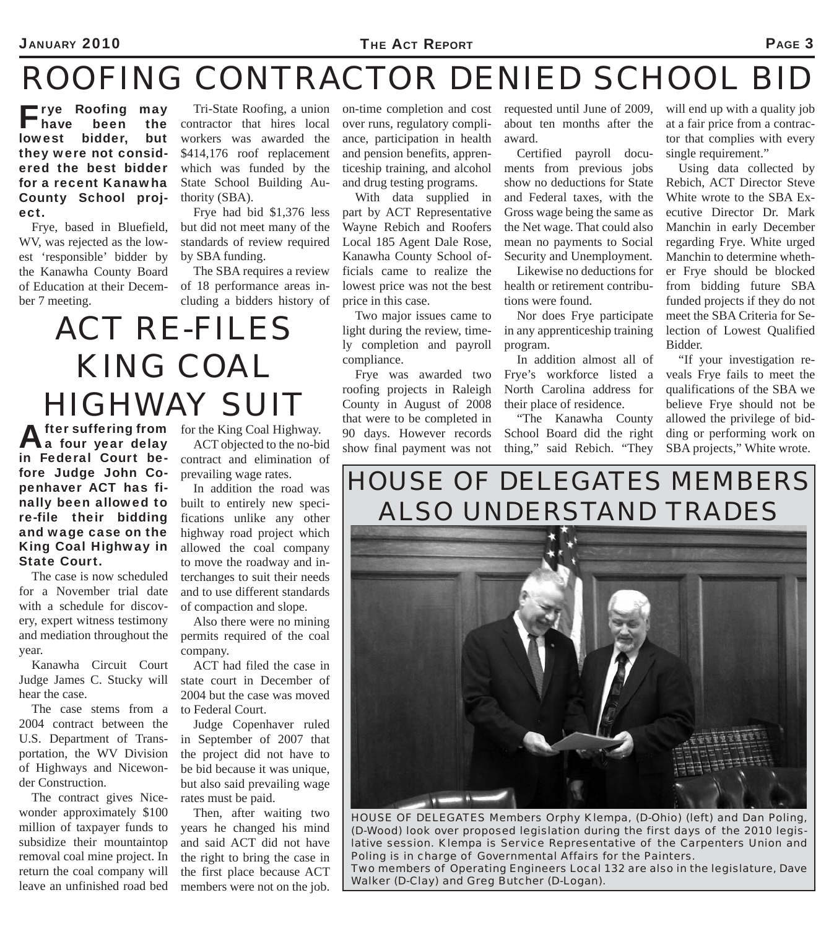#### JANUARY 2010 **PAGE 3**

### *ROOFING CONTRACTOR DENIED SCHOOL BID*

**Filler Roofing may<br>Thave been the<br>pwest bidder, but** have been lowest bidder, they were not considered the best bidder for a recent Kanawha County School project.

Frye, based in Bluefield, WV, was rejected as the lowest 'responsible' bidder by the Kanawha County Board of Education at their December 7 meeting.

Tri-State Roofing, a union contractor that hires local workers was awarded the \$414,176 roof replacement which was funded by the State School Building Authority (SBA).

Frye had bid \$1,376 less but did not meet many of the standards of review required by SBA funding.

The SBA requires a review of 18 performance areas including a bidders history of

### *ACT RE-FILES KING COAL HIGHWAY SUIT*

After suffering from<br>A four year delay in Federal Court before Judge John Copenhaver ACT has finally been allowed to re-file their bidding and wage case on the King Coal Highway in State Court. **fter suffering from** for the King Coal Highway.

The case is now scheduled for a November trial date with a schedule for discovery, expert witness testimony and mediation throughout the year.

Kanawha Circuit Court Judge James C. Stucky will hear the case.

The case stems from a 2004 contract between the U.S. Department of Transportation, the WV Division of Highways and Nicewonder Construction.

The contract gives Nicewonder approximately \$100 million of taxpayer funds to subsidize their mountaintop removal coal mine project. In return the coal company will leave an unfinished road bed

ACT objected to the no-bid contract and elimination of prevailing wage rates.

In addition the road was built to entirely new specifications unlike any other highway road project which allowed the coal company to move the roadway and interchanges to suit their needs and to use different standards of compaction and slope.

Also there were no mining permits required of the coal company.

ACT had filed the case in state court in December of 2004 but the case was moved to Federal Court.

Judge Copenhaver ruled in September of 2007 that the project did not have to be bid because it was unique, but also said prevailing wage rates must be paid.

Then, after waiting two years he changed his mind and said ACT did not have the right to bring the case in the first place because ACT members were not on the job.

on-time completion and cost requested until June of 2009, over runs, regulatory compliance, participation in health and pension benefits, apprenticeship training, and alcohol and drug testing programs.

With data supplied in part by ACT Representative Wayne Rebich and Roofers Local 185 Agent Dale Rose, Kanawha County School officials came to realize the lowest price was not the best price in this case.

Two major issues came to light during the review, timely completion and payroll compliance.

Frye was awarded two roofing projects in Raleigh County in August of 2008 that were to be completed in 90 days. However records show final payment was not about ten months after the award.

Certified payroll documents from previous jobs show no deductions for State and Federal taxes, with the Gross wage being the same as the Net wage. That could also mean no payments to Social Security and Unemployment.

Likewise no deductions for health or retirement contributions were found.

Nor does Frye participate in any apprenticeship training program.

In addition almost all of Frye's workforce listed a North Carolina address for their place of residence.

"The Kanawha County School Board did the right thing," said Rebich. "They

will end up with a quality job at a fair price from a contractor that complies with every single requirement."

Using data collected by Rebich, ACT Director Steve White wrote to the SBA Executive Director Dr. Mark Manchin in early December regarding Frye. White urged Manchin to determine whether Frye should be blocked from bidding future SBA funded projects if they do not meet the SBA Criteria for Selection of Lowest Qualified Bidder.

"If your investigation reveals Frye fails to meet the qualifications of the SBA we believe Frye should not be allowed the privilege of bidding or performing work on SBA projects," White wrote.

### *HOUSE OF DELEGATES MEMBERS ALSO UNDERSTAND TRADES*



*HOUSE OF DELEGATES Members Orphy Klempa, (D-Ohio) (left) and Dan Poling, (D-Wood) look over proposed legislation during the first days of the 2010 legislative session. Klempa is Service Representative of the Carpenters Union and Poling is in charge of Governmental Affairs for the Painters. Two members of Operating Engineers Local 132 are also in the legislature, Dave Walker (D-Clay) and Greg Butcher (D-Logan).*